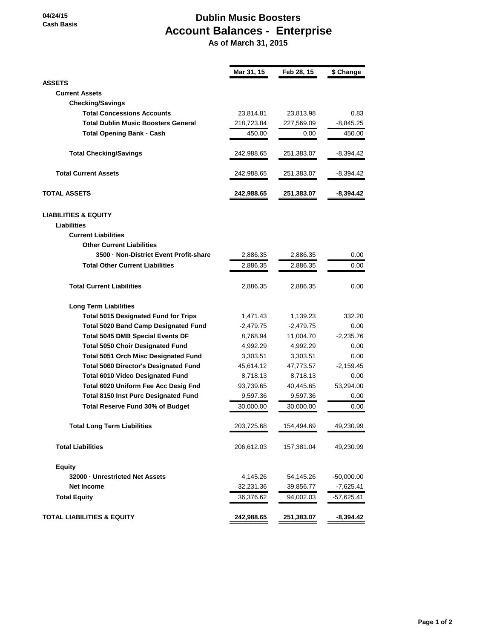**04/24/15 Cash Basis**

## **Dublin Music Boosters Account Balances - Enterprise**

 **As of March 31, 2015**

|                                              | Mar 31, 15  | Feb 28, 15  | \$ Change    |
|----------------------------------------------|-------------|-------------|--------------|
| <b>ASSETS</b>                                |             |             |              |
| <b>Current Assets</b>                        |             |             |              |
| <b>Checking/Savings</b>                      |             |             |              |
| <b>Total Concessions Accounts</b>            | 23,814.81   | 23,813.98   | 0.83         |
| <b>Total Dublin Music Boosters General</b>   | 218,723.84  | 227,569.09  | $-8,845.25$  |
| <b>Total Opening Bank - Cash</b>             | 450.00      | 0.00        | 450.00       |
| <b>Total Checking/Savings</b>                | 242,988.65  | 251,383.07  | -8,394.42    |
| <b>Total Current Assets</b>                  | 242,988.65  | 251,383.07  | -8,394.42    |
| <b>TOTAL ASSETS</b>                          | 242,988.65  | 251,383.07  | -8,394.42    |
| <b>LIABILITIES &amp; EQUITY</b>              |             |             |              |
| <b>Liabilities</b>                           |             |             |              |
| <b>Current Liabilities</b>                   |             |             |              |
| <b>Other Current Liabilities</b>             |             |             |              |
| 3500 - Non-District Event Profit-share       | 2,886.35    | 2,886.35    | 0.00         |
| <b>Total Other Current Liabilities</b>       | 2,886.35    | 2,886.35    | 0.00         |
| <b>Total Current Liabilities</b>             | 2,886.35    | 2,886.35    | 0.00         |
| <b>Long Term Liabilities</b>                 |             |             |              |
| <b>Total 5015 Designated Fund for Trips</b>  | 1,471.43    | 1,139.23    | 332.20       |
| <b>Total 5020 Band Camp Designated Fund</b>  | $-2,479.75$ | $-2,479.75$ | 0.00         |
| <b>Total 5045 DMB Special Events DF</b>      | 8,768.94    | 11,004.70   | $-2,235.76$  |
| <b>Total 5050 Choir Designated Fund</b>      | 4,992.29    | 4,992.29    | 0.00         |
| <b>Total 5051 Orch Misc Designated Fund</b>  | 3,303.51    | 3,303.51    | 0.00         |
| <b>Total 5060 Director's Designated Fund</b> | 45,614.12   | 47,773.57   | $-2,159.45$  |
| <b>Total 6010 Video Designated Fund</b>      | 8,718.13    | 8,718.13    | 0.00         |
| Total 6020 Uniform Fee Acc Desig Fnd         | 93,739.65   | 40,445.65   | 53,294.00    |
| <b>Total 8150 Inst Purc Designated Fund</b>  | 9,597.36    | 9,597.36    | 0.00         |
| <b>Total Reserve Fund 30% of Budget</b>      | 30,000.00   | 30,000.00   | 0.00         |
| <b>Total Long Term Liabilities</b>           | 203,725.68  | 154,494.69  | 49,230.99    |
| <b>Total Liabilities</b>                     | 206,612.03  | 157,381.04  | 49,230.99    |
| Equity                                       |             |             |              |
| 32000 - Unrestricted Net Assets              | 4,145.26    | 54,145.26   | $-50,000.00$ |
| <b>Net Income</b>                            | 32,231.36   | 39,856.77   | $-7,625.41$  |
| <b>Total Equity</b>                          | 36,376.62   | 94,002.03   | $-57,625.41$ |
| <b>TOTAL LIABILITIES &amp; EQUITY</b>        | 242,988.65  | 251,383.07  | $-8,394.42$  |